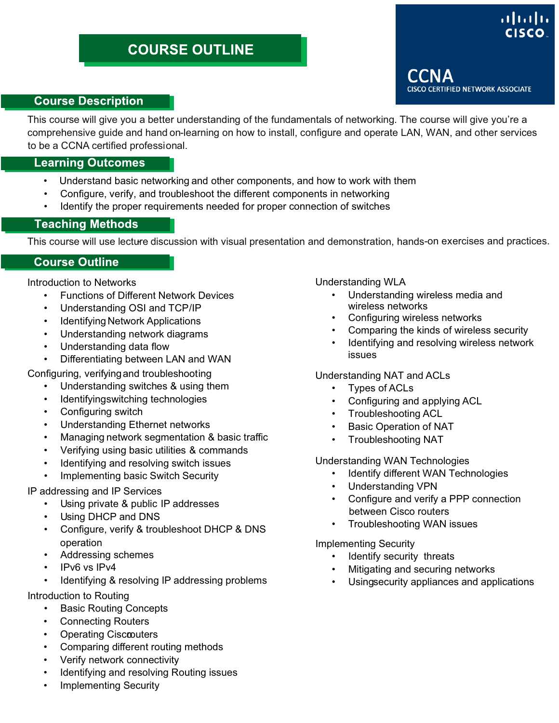# ahah

#### **Course Description**

This course will give you a better understanding of the fundamentals of networking. The course will give you're a comprehensive guide and hand on- learning on how to install, configure and operate LAN, WAN, and other services to be a CCNA certified professional.

#### **Learning Outcomes**

- Understand basic networking and other components, and how to work with them
- Configure, verify, and troubleshoot the different components in networking
- Identify the proper requirements needed for proper connection of switches

#### **Teaching Methods**

This course will use lecture discussion with visual presentation and demonstration, hands-on exercises and practices.

#### **Course Outline**

Introduction to Networks

- Functions of Different Network Devices
- Understanding OSI and TCP/IP
- Identifying Network Applications
- Understanding network diagrams
- Understanding data flow
- Differentiating between LAN and WAN

Configuring, verifyingand troubleshooting

- Understanding switches & using them
- Identifying switching technologies
- Configuring switch
- Understanding Ethernet networks
- Managing network segmentation & basic traffic
- Verifying using basic utilities & commands
- Identifying and resolving switch issues
- Implementing basic Switch Security

#### IP addressing and IP Services

- Using private & public IP addresses
- Using DHCP and DNS
- Configure, verify & troubleshoot DHCP & DNS operation
- Addressing schemes
- IPv6 vs IPv4
- Identifying & resolving IP addressing problems

Introduction to Routing

- **Basic Routing Concepts**
- Connecting Routers
- Operating Ciscoouters
- Comparing different routing methods
- Verify network connectivity
- Identifying and resolving Routing issues
- Implementing Security

Understanding WLA

- Understanding wireless media and wireless networks
- Configuring wireless networks
- Comparing the kinds of wireless security
- Identifying and resolving wireless network issues

#### Understanding NAT and ACLs

- Types of ACLs
- Configuring and applying ACL
- Troubleshooting ACL
- Basic Operation of NAT
- Troubleshooting NAT

#### Understanding WAN Technologies

- Identify different WAN Technologies
- Understanding VPN
- Configure and verify a PPP connection between Cisco routers
- Troubleshooting WAN issues

Implementing Security

- Identify security threats
- Mitigating and securing networks
- Usingsecurity appliances and applications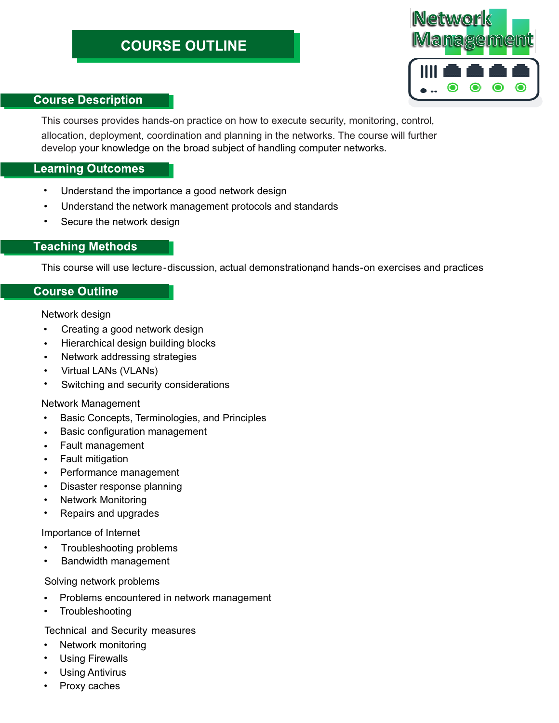

#### **Course Description**

This courses provides hands-on practice on how to execute security, monitoring, control, allocation, deployment, coordination and planning in the networks. The course will further develop your knowledge on the broad subject of handling computer networks.

#### **Learning Outcomes**

- Understand the importance a good network design •
- Understand the network management protocols and standards •
- Secure the network design •

#### **Teaching Methods**

This course will use lecture-discussion, actual demonstrationand hands-on exercises and practices

#### **Course Outline**

Network design

- Creating a good network design •
- Hierarchical design building blocks •
- Network addressing strategies •
- Virtual LANs (VLANs) •
- Switching and security considerations •

#### Network Management

- Basic Concepts, Terminologies, and Principles •
- Basic configuration management •
- Fault management •
- Fault mitigation •
- Performance management •
- Disaster response planning •
- Network Monitoring •
- Repairs and upgrades •

#### Importance of Internet

- Troubleshooting problems •
- Bandwidth management •

#### Solving network problems

- Problems encountered in network management •
- Troubleshooting •

Technical and Security measures

- Network monitoring •
- Using Firewalls •
- Using Antivirus •
- Proxy caches •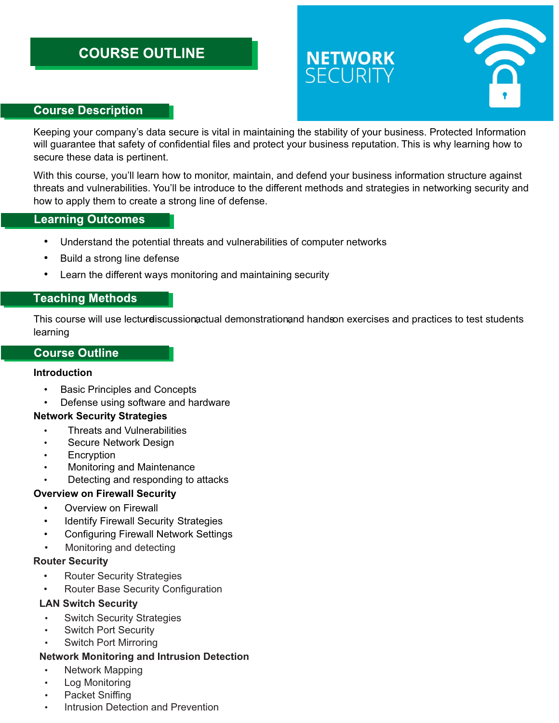# **NETWORK**<br>SECURITY



#### **Course Description**

Keeping your company's data secure is vital in maintaining the stability of your business. Protected Information will guarantee that safety of confidential files and protect your business reputation. This is why learning how to secure these data is pertinent.

With this course, you'll learn how to monitor, maintain, and defend your business information structure against threats and vulnerabilities. You'll be introduce to the different methods and strategies in networking security and how to apply them to create a strong line of defense.

#### **Learning Outcomes**

- Understand the potential threats and vulnerabilities of computer networks
- Build a strong line defense
- Learn the different ways monitoring and maintaining security

#### **Teaching Methods**

This course will use lecturdiscussion actual demonstration and handson exercises and practices to test students learning.

#### **Course Outline**

#### **Introduction**

- Basic Principles and Concepts
- Defense using software and hardware

#### **Network Security Strategies**

- Threats and Vulnerabilities
- Secure Network Design
- **Encryption**
- Monitoring and Maintenance
- Detecting and responding to attacks

#### **Overview on Firewall Security**

- Overview on Firewall
- **Identify Firewall Security Strategies**
- Configuring Firewall Network Settings
- Monitoring and detecting

#### **Router Security**

- Router Security Strategies
- Router Base Security Configuration

#### **LAN Switch Security**

- **Switch Security Strategies**
- **Switch Port Security**
- Switch Port Mirroring

#### **Network Monitoring and Intrusion Detection**

- Network Mapping
- **Log Monitoring**
- Packet Sniffing
- Intrusion Detection and Prevention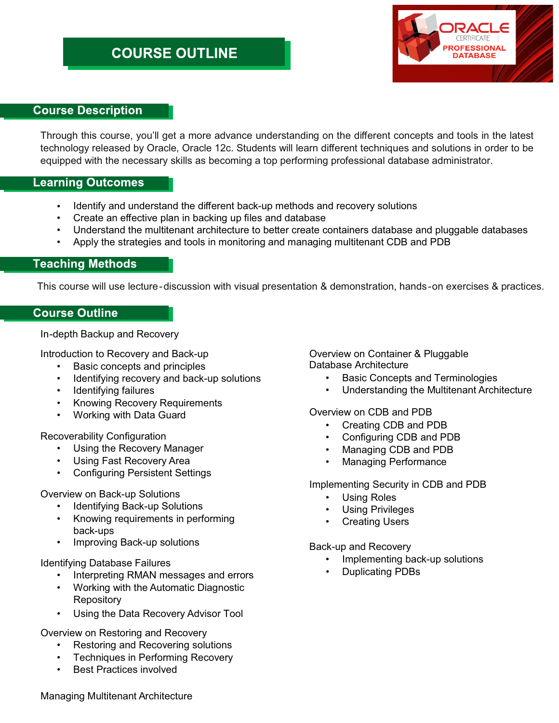

#### **Course Description**

Through this course, you'll get a more advance understanding on the different concepts and tools in the latest technology released by Oracle, Oracle 12c. Students will learn different techniques and solutions in order to be equipped with the necessary skills as becoming a top performing professional database administrator.

#### **Learning Outcomes**

- Identify and understand the different back-up methods and recovery solutions •
- Create an effective plan in backing up files and database
- Understand the multitenant architecture to better create containers database and pluggable databases
- Apply the strategies and tools in monitoring and managing multitenant CDB and PDB

#### **Teaching Methods**

This course will use lecture-discussion with visual presentation & demonstration, hands -on exercises & practices.

#### **Course Outline**

In-depth Backup and Recovery

Introduction to Recovery and Back-up

- Basic concepts and principles
- Identifying recovery and back-up solutions
- Identifying failures
- Knowing Recovery Requirements
- Working with Data Guard

Recoverability Configuration

- Using the Recovery Manager
- Using Fast Recovery Area
- Configuring Persistent Settings

#### Overview on Back-up Solutions

- Identifying Back-up Solutions
- Knowing requirements in performing back-ups
- Improving Back-up solutions

#### Identifying Database Failures

- Interpreting RMAN messages and errors
- Working with the Automatic Diagnostic **Repository**
- Using the Data Recovery Advisor Tool

Overview on Restoring and Recovery

- Restoring and Recovering solutions
- Techniques in Performing Recovery
- Best Practices involved

Overview on Container & Pluggable Database Architecture

- Basic Concepts and Terminologies
- Understanding the Multitenant Architecture

#### Overview on CDB and PDB

- Creating CDB and PDB
- Configuring CDB and PDB
- Managing CDB and PDB
- Managing Performance

Implementing Security in CDB and PDB

- Using Roles
- Using Privileges
- **Creating Users**

Back-up and Recovery

- Implementing back-up solutions
- Duplicating PDBs

Managing Multitenant Architecture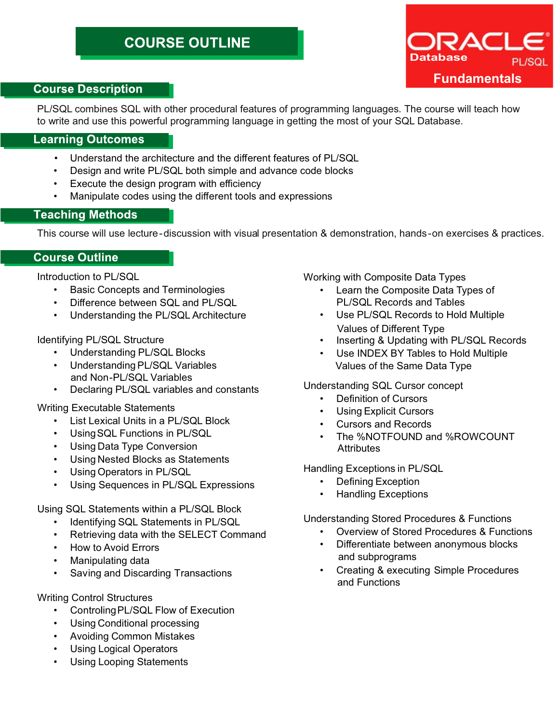

#### **Course Description**

PL/SQL combines SQL with other procedural features of programming languages. The course will teach how to write and use this powerful programming language in getting the most of your SQL Database.

#### **Learning Outcomes**

- Understand the architecture and the different features of PL/SQL
- Design and write PL/SQL both simple and advance code blocks
- Execute the design program with efficiency
- Manipulate codes using the different tools and expressions

#### **Teaching Methods**

This course will use lecture-discussion with visual presentation & demonstration, hands -on exercises & practices.

#### **Course Outline**

Introduction to PL/SQL

- Basic Concepts and Terminologies
- Difference between SQL and PL/SQL
- Understanding the PL/SQL Architecture

#### Identifying PL/SQL Structure

- Understanding PL/SQL Blocks
- Understanding PL/SQL Variables and Non-PL/SQL Variables
- Declaring PL/SQL variables and constants

Writing Executable Statements

- List Lexical Units in a PL/SQL Block
- UsingSQL Functions in PL/SQL
- Using Data Type Conversion
- Using Nested Blocks as Statements
- Using Operators in PL/SQL
- Using Sequences in PL/SQL Expressions

Using SQL Statements within a PL/SQL Block

- Identifying SQL Statements in PL/SQL
- Retrieving data with the SELECT Command
- How to Avoid Errors
- Manipulating data
- Saving and Discarding Transactions

#### Writing Control Structures

- ControlingPL/SQL Flow of Execution
- Using Conditional processing
- Avoiding Common Mistakes
- Using Logical Operators
- Using Looping Statements

Working with Composite Data Types

- Learn the Composite Data Types of PL/SQL Records and Tables
- Use PL/SQL Records to Hold Multiple Values of Different Type
- Inserting & Updating with PL/SQL Records
- Use INDEX BY Tables to Hold Multiple Values of the Same Data Type

#### Understanding SQL Cursor concept

- Definition of Cursors
- Using Explicit Cursors
- Cursors and Records
- The %NOTFOUND and %ROWCOUNT **Attributes**

Handling Exceptions in PL/SQL

- Defining Exception
- Handling Exceptions

Understanding Stored Procedures & Functions

- Overview of Stored Procedures & Functions
- Differentiate between anonymous blocks and subprograms
- Creating & executing Simple Procedures and Functions